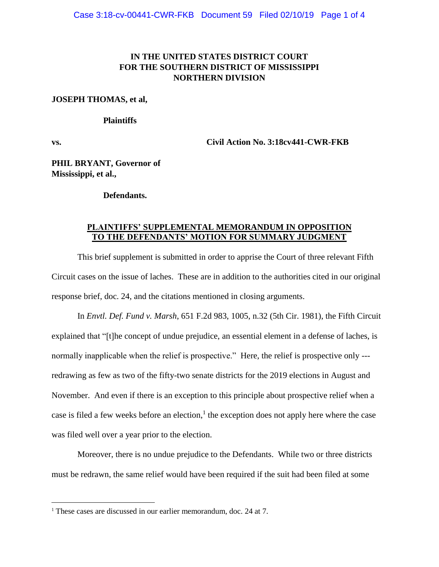## **IN THE UNITED STATES DISTRICT COURT FOR THE SOUTHERN DISTRICT OF MISSISSIPPI NORTHERN DIVISION**

### **JOSEPH THOMAS, et al,**

## **Plaintiffs**

 $\overline{a}$ 

**vs. Civil Action No. 3:18cv441-CWR-FKB**

**PHIL BRYANT, Governor of Mississippi, et al.,**

## **Defendants.**

## **PLAINTIFFS' SUPPLEMENTAL MEMORANDUM IN OPPOSITION TO THE DEFENDANTS' MOTION FOR SUMMARY JUDGMENT**

This brief supplement is submitted in order to apprise the Court of three relevant Fifth Circuit cases on the issue of laches. These are in addition to the authorities cited in our original response brief, doc. 24, and the citations mentioned in closing arguments.

In *Envtl. Def. Fund v. Marsh*, 651 F.2d 983, 1005, n.32 (5th Cir. 1981), the Fifth Circuit explained that "[t]he concept of undue prejudice, an essential element in a defense of laches, is normally inapplicable when the relief is prospective." Here, the relief is prospective only -- redrawing as few as two of the fifty-two senate districts for the 2019 elections in August and November. And even if there is an exception to this principle about prospective relief when a case is filed a few weeks before an election, 1 the exception does not apply here where the case was filed well over a year prior to the election.

Moreover, there is no undue prejudice to the Defendants. While two or three districts must be redrawn, the same relief would have been required if the suit had been filed at some

<sup>&</sup>lt;sup>1</sup> These cases are discussed in our earlier memorandum, doc. 24 at 7.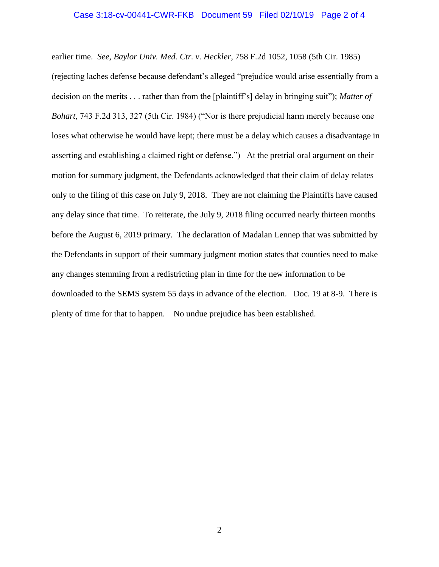### Case 3:18-cv-00441-CWR-FKB Document 59 Filed 02/10/19 Page 2 of 4

earlier time. *See, Baylor Univ. Med. Ctr. v. Heckler*, 758 F.2d 1052, 1058 (5th Cir. 1985) (rejecting laches defense because defendant's alleged "prejudice would arise essentially from a decision on the merits . . . rather than from the [plaintiff's] delay in bringing suit"); *Matter of Bohart*, 743 F.2d 313, 327 (5th Cir. 1984) ("Nor is there prejudicial harm merely because one loses what otherwise he would have kept; there must be a delay which causes a disadvantage in asserting and establishing a claimed right or defense.") At the pretrial oral argument on their motion for summary judgment, the Defendants acknowledged that their claim of delay relates only to the filing of this case on July 9, 2018. They are not claiming the Plaintiffs have caused any delay since that time. To reiterate, the July 9, 2018 filing occurred nearly thirteen months before the August 6, 2019 primary. The declaration of Madalan Lennep that was submitted by the Defendants in support of their summary judgment motion states that counties need to make any changes stemming from a redistricting plan in time for the new information to be downloaded to the SEMS system 55 days in advance of the election. Doc. 19 at 8-9. There is plenty of time for that to happen. No undue prejudice has been established.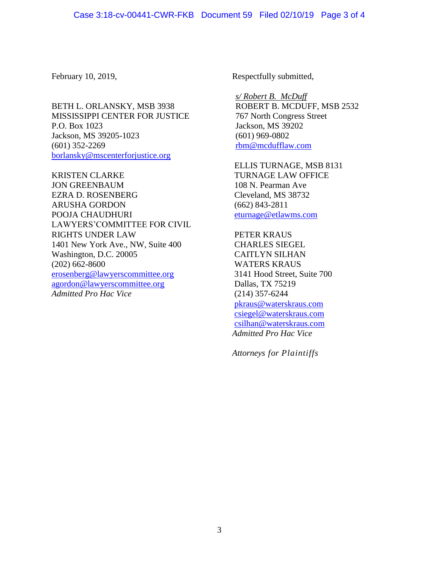BETH L. ORLANSKY, MSB 3938 MISSISSIPPI CENTER FOR JUSTICE P.O. Box 1023 Jackson, MS 39205-1023 (601) 352-2269 [borlansky@mscenterforjustice.org](mailto:borlansky@mscenterforjustice.org)

KRISTEN CLARKE JON GREENBAUM EZRA D. ROSENBERG ARUSHA GORDON POOJA CHAUDHURI LAWYERS'COMMITTEE FOR CIVIL RIGHTS UNDER LAW 1401 New York Ave., NW, Suite 400 Washington, D.C. 20005 (202) 662-8600 [erosenberg@lawyerscommittee.org](mailto:erosenberg@lawyerscommittee.org) [agordon@lawyerscommittee.org](mailto:agordon@lawyerscommittee.org) *Admitted Pro Hac Vice*

February 10, 2019, Respectfully submitted,

*s/ Robert B. McDuff* ROBERT B. MCDUFF, MSB 2532 767 North Congress Street Jackson, MS 39202 (601) 969-0802 [rbm@mcdufflaw.com](mailto:rbm@mcdufflaw.com)

ELLIS TURNAGE, MSB 8131 TURNAGE LAW OFFICE 108 N. Pearman Ave Cleveland, MS 38732 (662) 843-2811 [eturnage@etlawms.com](mailto:eturnage@etlawms.com)

PETER KRAUS CHARLES SIEGEL CAITLYN SILHAN WATERS KRAUS 3141 Hood Street, Suite 700 Dallas, TX 75219 (214) 357-6244 [pkraus@waterskraus.com](mailto:pkraus@waterskraus.com) [csiegel@waterskraus.com](mailto:csiegel@waterskraus.com) [csilhan@waterskraus.com](mailto:csilhan@waterskraus.com) *Admitted Pro Hac Vice*

*Attorneys for Plaintiffs*